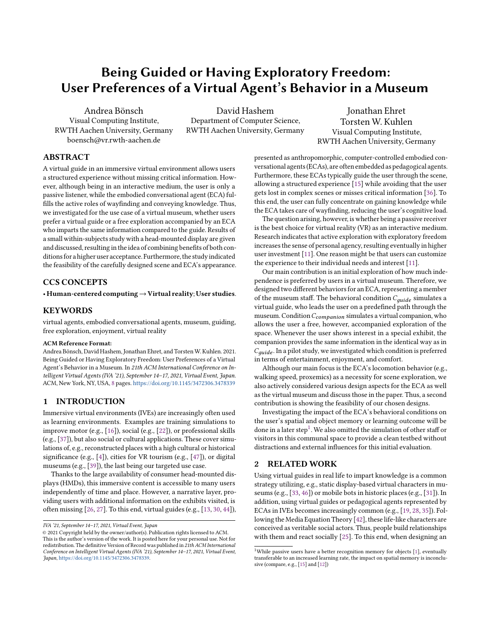# Being Guided or Having Exploratory Freedom: User Preferences of a Virtual Agent's Behavior in a Museum

Andrea Bönsch Visual Computing Institute, RWTH Aachen University, Germany boensch@vr.rwth-aachen.de

David Hashem Department of Computer Science, RWTH Aachen University, Germany

Jonathan Ehret Torsten W. Kuhlen Visual Computing Institute, RWTH Aachen University, Germany

## ABSTRACT

A virtual guide in an immersive virtual environment allows users a structured experience without missing critical information. However, although being in an interactive medium, the user is only a passive listener, while the embodied conversational agent (ECA) fulfills the active roles of wayfinding and conveying knowledge. Thus, we investigated for the use case of a virtual museum, whether users prefer a virtual guide or a free exploration accompanied by an ECA who imparts the same information compared to the guide. Results of a small within-subjects study with a head-mounted display are given and discussed, resulting in the idea of combining benefits of both conditions for a higher user acceptance. Furthermore, the study indicated the feasibility of the carefully designed scene and ECA's appearance.

## CCS CONCEPTS

• Human-centered computing→Virtual reality; User studies.

#### **KEYWORDS**

virtual agents, embodied conversational agents, museum, guiding, free exploration, enjoyment, virtual reality

#### ACM Reference Format:

Andrea Bönsch, David Hashem, Jonathan Ehret, and Torsten W. Kuhlen. 2021. Being Guided or Having Exploratory Freedom: User Preferences of a Virtual Agent's Behavior in a Museum. In 21th ACM International Conference on Intelligent Virtual Agents (IVA '21), September 14–17, 2021, Virtual Event, Japan. ACM, New York, NY, USA, [8](#page-7-0) pages. <https://doi.org/10.1145/3472306.3478339>

## 1 INTRODUCTION

Immersive virtual environments (IVEs) are increasingly often used as learning environments. Examples are training simulations to improve motor (e.g., [\[16\]](#page-7-1)), social (e.g., [\[22\]](#page-7-2)), or professional skills (e.g., [\[37\]](#page-7-3)), but also social or cultural applications. These cover simulations of, e.g., reconstructed places with a high cultural or historical significance (e.g., [\[4\]](#page-7-4)), cities for VR tourism (e.g., [\[47\]](#page-7-5)), or digital museums (e.g., [\[39\]](#page-7-6)), the last being our targeted use case.

Thanks to the large availability of consumer head-mounted displays (HMDs), this immersive content is accessible to many users independently of time and place. However, a narrative layer, providing users with additional information on the exhibits visited, is often missing [\[26,](#page-7-7) [27\]](#page-7-8). To this end, virtual guides (e.g., [\[13,](#page-7-9) [30,](#page-7-10) [44\]](#page-7-11)), presented as anthropomorphic, computer-controlled embodied conversational agents(ECAs), are often embedded as pedagogical agents. Furthermore, these ECAs typically guide the user through the scene, allowing a structured experience [\[15\]](#page-7-12) while avoiding that the user gets lost in complex scenes or misses critical information [\[36\]](#page-7-13). To this end, the user can fully concentrate on gaining knowledge while the ECA takes care of wayfinding, reducing the user's cognitive load.

The question arising, however, is whether being a passive receiver is the best choice for virtual reality (VR) as an interactive medium. Research indicates that active exploration with exploratory freedom increases the sense of personal agency, resulting eventually in higher user investment [\[11\]](#page-7-14). One reason might be that users can customize the experience to their individual needs and interest [\[11\]](#page-7-14).

Our main contribution is an initial exploration of how much independence is preferred by users in a virtual museum. Therefore, we designed two different behaviors for an ECA, representing a member of the museum staff. The behavioral condition  $C_{\text{guide}}$  simulates a virtual guide, who leads the user on a predefined path through the museum. Condition  $C_{companion}$  simulates a virtual companion, who allows the user a free, however, accompanied exploration of the space. Whenever the user shows interest in a special exhibit, the companion provides the same information in the identical way as in  $C_{\text{guide}}$  . In a pilot study, we investigated which condition is preferred in terms of entertainment, enjoyment, and comfort.

Although our main focus is the ECA's locomotion behavior (e.g., walking speed, proxemics) as a necessity for scene exploration, we also actively considered various design aspects for the ECA as well as the virtual museum and discuss those in the paper. Thus, a second contribution is showing the feasibility of our chosen designs.

Investigating the impact of the ECA's behavioral conditions on the user's spatial and object memory or learning outcome will be done in a later step<sup>[1](#page-0-0)</sup>. We also omitted the simulation of other staff or visitors in this communal space to provide a clean testbed without distractions and external influences for this initial evaluation.

## 2 RELATED WORK

Using virtual guides in real life to impart knowledge is a common strategy utilizing, e.g., static display-based virtual characters in museums (e.g., [\[33,](#page-7-15) [46\]](#page-7-16)) or mobile bots in historic places (e.g., [\[31\]](#page-7-17)). In addition, using virtual guides or pedagogical agents represented by ECAs in IVEs becomes increasingly common (e.g., [\[19,](#page-7-18) [28,](#page-7-19) [35\]](#page-7-20)). Following the Media Equation Theory [\[42\]](#page-7-21), these life-like characters are conceived as veritable social actors. Thus, people build relationships with them and react socially [\[25\]](#page-7-22). To this end, when designing an

IVA '21, September 14–17, 2021, Virtual Event, Japan

<sup>©</sup> 2021 Copyright held by the owner/author(s). Publication rights licensed to ACM. This is the author's version of the work. It is posted here for your personal use. Not for redistribution. The definitive Version of Record was published in 21th ACM International Conference on Intelligent Virtual Agents (IVA '21), September 14–17, 2021, Virtual Event, Japan, [https://doi.org/10.1145/3472306.3478339.](https://doi.org/10.1145/3472306.3478339)

<span id="page-0-0"></span><sup>&</sup>lt;sup>1</sup>While passive users have a better recognition memory for objects  $[1]$ , eventually transferable to an increased learning rate, the impact on spatial memory is inconclusive (compare, e.g., [\[15\]](#page-7-12) and [\[12\]](#page-7-24))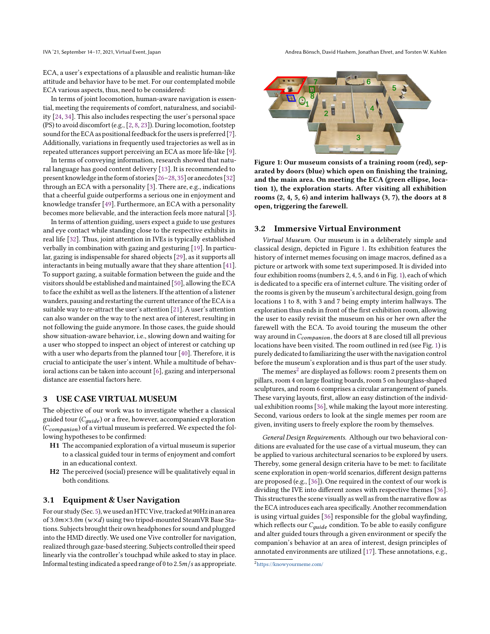IVA '21, September 14–17, 2021, Virtual Event, Japan Andrea Bönsch, David Hashem, Jonathan Ehret, and Torsten W. Kuhlen

ECA, a user's expectations of a plausible and realistic human-like attitude and behavior have to be met. For our contemplated mobile ECA various aspects, thus, need to be considered:

In terms of joint locomotion, human-aware navigation is essential, meeting the requirements of comfort, naturalness, and sociability [\[24,](#page-7-25) [34\]](#page-7-26). This also includes respecting the user's personal space (PS) to avoid discomfort (e.g., [\[2,](#page-7-27) [8,](#page-7-28) [23\]](#page-7-29)). During locomotion, footstep sound for the ECA as positional feedback for the users is preferred [\[7\]](#page-7-30). Additionally, variations in frequently used trajectories as well as in repeated utterances support perceiving an ECA as more life-like [\[9\]](#page-7-31).

In terms of conveying information, research showed that natural language has good content delivery [\[13\]](#page-7-9). It is recommended to present knowledge in the form of stories [\[26](#page-7-7)-28, [35\]](#page-7-20) or anecdotes [\[32\]](#page-7-32) through an ECA with a personality [\[3\]](#page-7-33). There are, e.g., indications that a cheerful guide outperforms a serious one in enjoyment and knowledge transfer [\[49\]](#page-7-34). Furthermore, an ECA with a personality becomes more believable, and the interaction feels more natural [\[3\]](#page-7-33).

In terms of attention guiding, users expect a guide to use gestures and eye contact while standing close to the respective exhibits in real life [\[32\]](#page-7-32). Thus, joint attention in IVEs is typically established verbally in combination with gazing and gesturing [\[19\]](#page-7-18). In particular, gazing is indispensable for shared objects [\[29\]](#page-7-35), as it supports all interactants in being mutually aware that they share attention [\[41\]](#page-7-36). To support gazing, a suitable formation between the guide and the visitors should be established and maintained [\[50\]](#page-7-37), allowing the ECA to face the exhibit as well as the listeners. If the attention of a listener wanders, pausing and restarting the current utterance of the ECA is a suitable way to re-attract the user's attention [\[21\]](#page-7-38). A user's attention can also wander on the way to the next area of interest, resulting in not following the guide anymore. In those cases, the guide should show situation-aware behavior, i.e., slowing down and waiting for a user who stopped to inspect an object of interest or catching up with a user who departs from the planned tour [\[40\]](#page-7-39). Therefore, it is crucial to anticipate the user's intent. While a multitude of behavioral actions can be taken into account [\[6\]](#page-7-40), gazing and interpersonal distance are essential factors here.

#### 3 USE CASE VIRTUAL MUSEUM

The objective of our work was to investigate whether a classical guided tour  $(C_{\text{guide}})$  or a free, however, accompanied exploration  $(C_{companion})$  of a virtual museum is preferred. We expected the following hypotheses to be confirmed:

- H1 The accompanied exploration of a virtual museum is superior to a classical guided tour in terms of enjoyment and comfort in an educational context.
- H2 The perceived (social) presence will be qualitatively equal in both conditions.

#### 3.1 Equipment & User Navigation

For our study(Sec. [5\)](#page-4-0), we used an HTCVive, tracked at 90Hzin an area of 3.0 $m \times 3.0 m$  ( $w \times d$ ) using two tripod-mounted SteamVR Base Stations. Subjects brought their own headphones for sound and plugged into the HMD directly. We used one Vive controller for navigation, realized through gaze-based steering. Subjects controlled their speed linearly via the controller's touchpad while asked to stay in place. Informal testing indicated a speed range of 0 to  $2.5m/s$  as appropriate.

<span id="page-1-0"></span>

Figure 1: Our museum consists of a training room (red), separated by doors (blue) which open on finishing the training, and the main area. On meeting the ECA (green ellipse, location 1), the exploration starts. After visiting all exhibition rooms (2, 4, 5, 6) and interim hallways (3, 7), the doors at 8 open, triggering the farewell.

#### <span id="page-1-2"></span>3.2 Immersive Virtual Environment

Virtual Museum. Our museum is in a deliberately simple and classical design, depicted in Figure [1.](#page-1-0) Its exhibition features the history of internet memes focusing on image macros, defined as a picture or artwork with some text superimposed. It is divided into four exhibition rooms (numbers 2, 4, 5, and 6 in Fig. [1\)](#page-1-0), each of which is dedicated to a specific era of internet culture. The visiting order of the rooms is given by the museum's architectural design, going from locations 1 to 8, with 3 and 7 being empty interim hallways. The exploration thus ends in front of the first exhibition room, allowing the user to easily revisit the museum on his or her own after the farewell with the ECA. To avoid touring the museum the other way around in  $C_{companion}$ , the doors at 8 are closed till all previous locations have been visited. The room outlined in red (see Fig. [1\)](#page-1-0) is purely dedicated to familiarizing the user with the navigation control before the museum's exploration and is thus part of the user study.

The memes $^2$  $^2$  are displayed as follows: room 2 presents them on pillars, room 4 on large floating boards, room 5 on hourglass-shaped sculptures, and room 6 comprises a circular arrangement of panels. These varying layouts, first, allow an easy distinction of the individual exhibition rooms [\[36\]](#page-7-13), while making the layout more interesting. Second, various orders to look at the single memes per room are given, inviting users to freely explore the room by themselves.

General Design Requirements. Although our two behavioral conditions are evaluated for the use case of a virtual museum, they can be applied to various architectural scenarios to be explored by users. Thereby, some general design criteria have to be met: to facilitate scene exploration in open-world scenarios, different design patterns are proposed (e.g., [\[36\]](#page-7-13)). One required in the context of our work is dividing the IVE into different zones with respective themes [\[36\]](#page-7-13). This structures the scene visually as well as from the narrative flow as the ECA introduces each area specifically. Another recommendation is using virtual guides [\[36\]](#page-7-13) responsible for the global wayfinding, which reflects our  $C_{\text{aude}}$  condition. To be able to easily configure and alter guided tours through a given environment or specify the companion's behavior at an area of interest, design principles of annotated environments are utilized [\[17\]](#page-7-41). These annotations, e.g.,

<span id="page-1-1"></span><sup>2</sup><https://knowyourmeme.com/>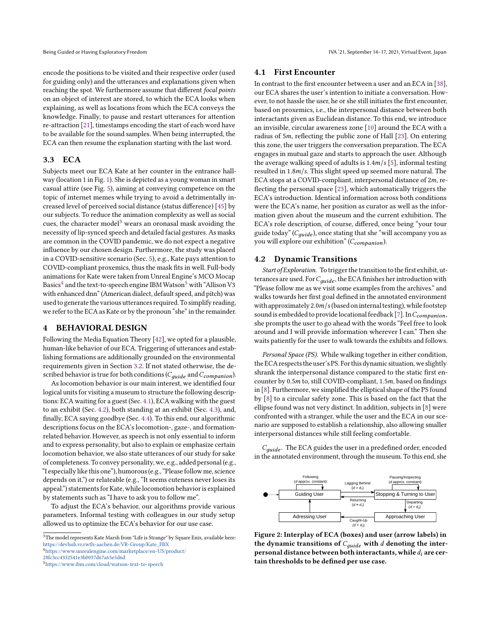encode the positions to be visited and their respective order (used for guiding only) and the utterances and explanations given when reaching the spot. We furthermore assume that different focal points on an object of interest are stored, to which the ECA looks when explaining, as well as locations from which the ECA conveys the knowledge. Finally, to pause and restart utterances for attention re-attraction [\[21\]](#page-7-38), timestamps encoding the start of each word have to be available for the sound samples. When being interrupted, the ECA can then resume the explanation starting with the last word.

## 3.3 ECA

Subjects meet our ECA Kate at her counter in the entrance hallway (location 1 in Fig. [1\)](#page-1-0). She is depicted as a young woman in smart casual attire (see Fig. [5\)](#page-4-1), aiming at conveying competence on the topic of internet memes while trying to avoid a detrimentally increased level of perceived social distance (status difference) [\[45\]](#page-7-42) by our subjects. To reduce the animation complexity as well as social cues, the character model<sup>[3](#page-2-0)</sup> wears an oronasal mask avoiding the necessity of lip-synced speech and detailed facial gestures. As masks are common in the COVID pandemic, we do not expect a negative influence by our chosen design. Furthermore, the study was placed in a COVID-sensitive scenario (Sec. [5\)](#page-4-0), e.g., Kate pays attention to COVID-compliant proxemics, thus the mask fits in well. Full-body animations for Kate were taken from Unreal Engine's MCO Mocap Basics $^4$  $^4$  and the text-to-speech engine IBM Watson $^5$  $^5$  with "Allison V3 with enhanced dnn" (American dialect, default speed, and pitch) was used to generate the various utterances required. To simplify reading, we refer to the ECA as Kate or by the pronoun "she" in the remainder.

#### 4 BEHAVIORAL DESIGN

Following the Media Equation Theory [\[42\]](#page-7-21), we opted for a plausible, human-like behavior of our ECA. Triggering of utterances and establishing formations are additionally grounded on the environmental requirements given in Section [3.2.](#page-1-2) If not stated otherwise, the described behavior is true for both conditions ( $C_{quide}$  and  $C_{companion}$ ).

As locomotion behavior is our main interest, we identified four logical units for visiting a museum to structure the following descriptions: ECA waiting for a guest (Sec. [4.1\)](#page-2-3), ECA walking with the guest to an exhibit (Sec. [4.2\)](#page-2-4), both standing at an exhibit (Sec. [4.3\)](#page-4-2), and, finally, ECA saying goodbye (Sec. [4.4\)](#page-4-3). To this end, our algorithmic descriptions focus on the ECA's locomotion-, gaze-, and formationrelated behavior. However, as speech is not only essential to inform and to express personality, but also to explain or emphasize certain locomotion behavior, we also state utterances of our study for sake of completeness. To convey personality, we, e.g., added personal (e.g., "I especially like this one"), humorous(e.g., "Please follow me, science depends on it.") or relateable (e.g., "It seems cuteness never loses its appeal.") statements for Kate, while locomotion behavior is explained by statements such as "I have to ask you to follow me".

To adjust the ECA's behavior, our algorithms provide various parameters. Informal testing with colleagues in our study setup allowed us to optimize the ECA's behavior for our use case.

<span id="page-2-1"></span><sup>4</sup>[https://www.unrealengine.com/marketplace/en-US/product/](https://www.unrealengine.com/marketplace/en-US/product/28fc3cc4332541e3b0037d67a65e5d6d)

<span id="page-2-2"></span><sup>5</sup><https://www.ibm.com/cloud/watson-text-to-speech>

#### <span id="page-2-3"></span>4.1 First Encounter

In contrast to the first encounter between a user and an ECA in [\[38\]](#page-7-43), our ECA shares the user's intention to initiate a conversation. However, to not hassle the user, he or she still initiates the first encounter, based on proxemics, i.e., the interpersonal distance between both interactants given as Euclidean distance. To this end, we introduce an invisible, circular awareness zone [\[10\]](#page-7-44) around the ECA with a radius of 5m, reflecting the public zone of Hall [\[23\]](#page-7-29). On entering this zone, the user triggers the conversation preparation. The ECA engages in mutual gaze and starts to approach the user. Although the average walking speed of adults is  $1.4m/s$  [\[5\]](#page-7-45), informal testing resulted in  $1.8m/s$ . This slight speed up seemed more natural. The ECA stops at a COVID-compliant, interpersonal distance of  $2m$ , reflecting the personal space [\[23\]](#page-7-29), which automatically triggers the ECA's introduction. Identical information across both conditions were the ECA's name, her position as curator as well as the information given about the museum and the current exhibition. The ECA's role description, of course, differed, once being "your tour guide today" ( $C_{quide}$ ), once stating that she "will accompany you as you will explore our exhibition" ( $C_{companion}$ ).

#### <span id="page-2-4"></span>4.2 Dynamic Transitions

Start of Exploration. To trigger the transition to the first exhibit, utterances are used. For  $C_{\text{guide}}$ , the ECA finishes her introduction with "Please follow me as we visit some examples from the archives." and walks towards her first goal defined in the annotated environment with approximately  $2.0<sup>m</sup>/s$  (based on internal testing), while footstep sound is embedded to provide locational feedback [\[7\]](#page-7-30). In  $C_{\text{companion}}$ , she prompts the user to go ahead with the words "Feel free to look around and I will provide information wherever I can." Then she waits patiently for the user to walk towards the exhibits and follows.

Personal Space (PS). While walking together in either condition, the ECA respects the user'sPS. For this dynamic situation, we slightly shrank the interpersonal distance compared to the static first encounter by  $0.5m$  to, still COVID-compliant,  $1.5m$ , based on findings in [\[8\]](#page-7-28). Furthermore, we simplified the elliptical shape of the PS found by [\[8\]](#page-7-28) to a circular safety zone. This is based on the fact that the ellipse found was not very distinct. In addition, subjects in [\[8\]](#page-7-28) were confronted with a stranger, while the user and the ECA in our scenario are supposed to establish a relationship, also allowing smaller interpersonal distances while still feeling comfortable.

 $C_{guide}$ . The ECA guides the user in a predefined order, encoded in the annotated environment, through the museum. To this end, she

<span id="page-2-5"></span>

Figure 2: Interplay of ECA (boxes) and user (arrow labels) in the dynamic transitions of  $C_{\text{guide}}$  with  $d$  denoting the interpersonal distance between both interactants, while  $d_i$  are certain thresholds to be defined per use case.

<span id="page-2-0"></span> ${}^{3}\mathrm{The}$  model represents Kate Marsh from "Life is Strange" by Square Enix, available here: [https://devhub.vr.rwth-aachen.de/VR-Group/Kate\\_FBX](https://devhub.vr.rwth-aachen.de/VR-Group/Kate_FBX)

[<sup>28</sup>fc3cc4332541e3b0037d67a65e5d6d](https://www.unrealengine.com/marketplace/en-US/product/28fc3cc4332541e3b0037d67a65e5d6d)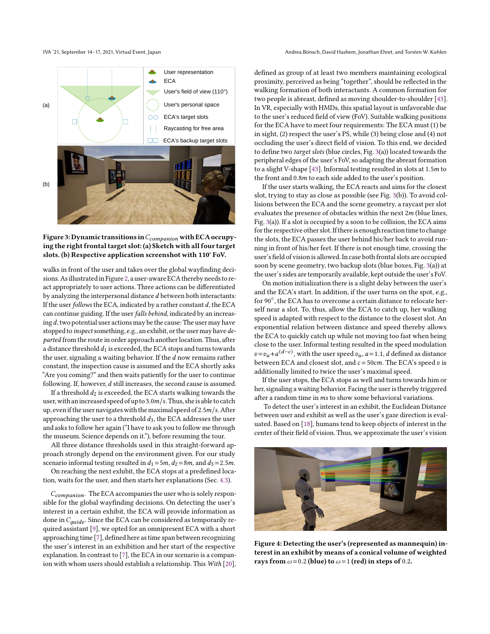<span id="page-3-0"></span>

Figure 3: Dynamic transitions in  $C_{companion}$  with ECA occupying the right frontal target slot: (a) Sketch with all four target slots. (b) Respective application screenshot with 110° FoV.

walks in front of the user and takes over the global wayfinding decisions.Asillustratedin Figure [2,](#page-2-5) a user-aware ECA thereby needs to react appropriately to user actions. Three actions can be differentiated by analyzing the interpersonal distance  $d$  between both interactants: If the user follows the ECA, indicated by a rather constant  $d$ , the ECA can continue guiding. If the user falls behind, indicated by an increasing  $d$ , two potential user actions may be the cause: The user may have stopped to inspect something, e.g., an exhibit, or the user may have departed from the route in order approach another location. Thus, after a distance threshold  $d_1$  is exceeded, the ECA stops and turns towards the user, signaling a waiting behavior. If the  $d$  now remains rather constant, the inspection cause is assumed and the ECA shortly asks "Are you coming?" and then waits patiently for the user to continue following. If, however,  $d$  still increases, the second cause is assumed.

If a threshold  $d_2$  is exceeded, the ECA starts walking towards the user, with an increased speed of up to  $3.0<sup>m</sup>/s$ . Thus, she is able to catch up, even if the user navigates with the maximal speed of  $2.5m/s$ . After approaching the user to a threshold  $d_3$ , the ECA addresses the user and asks to follow her again ("I have to ask you to follow me through the museum. Science depends on it."), before resuming the tour.

All three distance thresholds used in this straight-forward approach strongly depend on the environment given. For our study scenario informal testing resulted in  $d_1 = 5m$ ,  $d_2 = 8m$ , and  $d_3 = 2.5m$ .

On reaching the next exhibit, the ECA stops at a predefined location, waits for the user, and then starts her explanations (Sec. [4.3\)](#page-4-2).

 $C_{\text{companion}}$ . The ECA accompanies the user who is solely responsible for the global wayfinding decisions. On detecting the user's interest in a certain exhibit, the ECA will provide information as done in  $C_{guide}$ . Since the ECA can be considered as temporarily required assistant [\[9\]](#page-7-31), we opted for an omnipresent ECA with a short approaching time [\[7\]](#page-7-30), defined here as time span between recognizing the user's interest in an exhibition and her start of the respective explanation. In contrast to [\[7\]](#page-7-30), the ECA in our scenario is a companion with whom users should establish a relationship. This With [\[20\]](#page-7-46),

IVA '21, September 14–17, 2021, Virtual Event, Japan Andrea Bönsch, David Hashem, Jonathan Ehret, and Torsten W. Kuhlen

defined as group of at least two members maintaining ecological proximity, perceived as being "together", should be reflected in the walking formation of both interactants. A common formation for two people is abreast, defined as moving shoulder-to-shoulder [\[43\]](#page-7-47). In VR, especially with HMDs, this spatial layout is unfavorable due to the user's reduced field of view (FoV). Suitable walking positions for the ECA have to meet four requirements: The ECA must (1) be in sight, (2) respect the user's PS, while (3) being close and (4) not occluding the user's direct field of vision. To this end, we decided to define two target slots (blue circles, Fig. [3\(](#page-3-0)a)) located towards the peripheral edges of the user's FoV, so adapting the abreast formation to a slight V-shape [\[43\]](#page-7-47). Informal testing resulted in slots at  $1.5m$  to the front and 0.8m to each side added to the user's position.

If the user starts walking, the ECA reacts and aims for the closest slot, trying to stay as close as possible (see Fig. [3\(](#page-3-0)b)). To avoid collisions between the ECA and the scene geometry, a raycast per slot evaluates the presence of obstacles within the next  $2m$  (blue lines, Fig. [3\(](#page-3-0)a)). If a slot is occupied by a soon to be collision, the ECA aims for the respective other slot.If thereis enough reaction time to change the slots, the ECA passes the user behind his/her back to avoid running in front of his/her feet. If there is not enough time, crossing the user's field of vision is allowed. In case both frontal slots are occupied soon by scene geometry, two backup slots (blue boxes, Fig. [3\(](#page-3-0)a)) at the user's sides are temporarily available, kept outside the user's FoV.

On motion initialization there is a slight delay between the user's and the ECA's start. In addition, if the user turns on the spot, e.g., for 90°, the ECA has to overcome a certain distance to relocate herself near a slot. To, thus, allow the ECA to catch up, her walking speed is adapted with respect to the distance to the closest slot. An exponential relation between distance and speed thereby allows the ECA to quickly catch up while not moving too fast when being close to the user. Informal testing resulted in the speed modulation  $v = v_u + a^{(d-c)}$ , with the user speed  $v_u$ ,  $a = 1.1$ , d defined as distance between ECA and closest slot, and  $c = 50$ cm. The ECA's speed  $v$  is additionally limited to twice the user's maximal speed.

If the user stops, the ECA stops as well and turns towards him or her, signaling a waiting behavior. Facing the user is thereby triggered after a random time in ms to show some behavioral variations.

To detect the user's interest in an exhibit, the Euclidean Distance between user and exhibit as well as the user's gaze direction is evaluated. Based on [\[18\]](#page-7-48), humans tend to keep objects of interest in the center of their field of vision. Thus, we approximate the user's vision

<span id="page-3-1"></span>

Figure 4: Detecting the user's (represented as mannequin) interest in an exhibit by means of a conical volume of weighted rays from  $\omega$ =0.2 (blue) to  $\omega$ =1 (red) in steps of 0.2.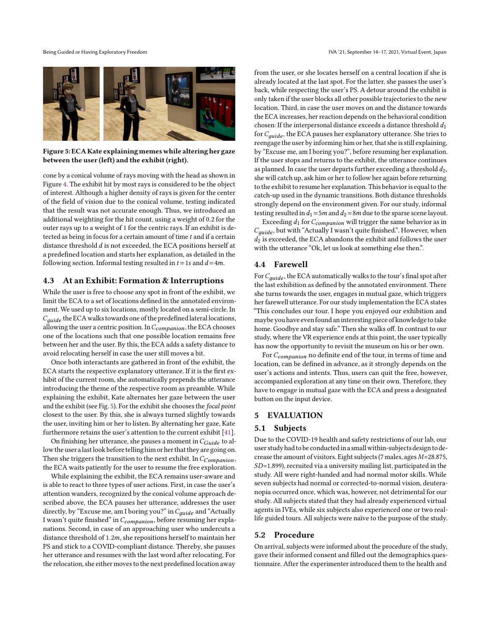<span id="page-4-1"></span>

Figure 5: ECA Kate explaining memes while altering her gaze between the user (left) and the exhibit (right).

cone by a conical volume of rays moving with the head as shown in Figure [4.](#page-3-1) The exhibit hit by most rays is considered to be the object of interest. Although a higher density of rays is given for the center of the field of vision due to the conical volume, testing indicated that the result was not accurate enough. Thus, we introduced an additional weighting for the hit count, using a weight of 0.2 for the outer rays up to a weight of 1 for the centric rays. If an exhibit is detected as being in focus for a certain amount of time  $t$  and if a certain distance threshold  $d$  is not exceeded, the ECA positions herself at a predefined location and starts her explanation, as detailed in the following section. Informal testing resulted in  $t = 1s$  and  $d = 4m$ .

## <span id="page-4-2"></span>4.3 At an Exhibit: Formation & Interruptions

While the user is free to choose any spot in front of the exhibit, we limit the ECA to a set of locations defined in the annotated environment. We used up to six locations, mostly located on a semi-circle. In  $C_{\text{guide}}$  the ECA walks towards one of the predefined lateral locations, allowing the user a centric position. In  $C_{common}$ , the ECA chooses one of the locations such that one possible location remains free between her and the user. By this, the ECA adds a safety distance to avoid relocating herself in case the user still moves a bit.

Once both interactants are gathered in front of the exhibit, the ECA starts the respective explanatory utterance. If it is the first exhibit of the current room, she automatically prepends the utterance introducing the theme of the respective room as preamble. While explaining the exhibit, Kate alternates her gaze between the user and the exhibit (see Fig. [5\)](#page-4-1). For the exhibit she chooses the focal point closest to the user. By this, she is always turned slightly towards the user, inviting him or her to listen. By alternating her gaze, Kate furthermore retains the user's attention to the current exhibit [\[41\]](#page-7-36).

On finishing her utterance, she pauses a moment in  $C_{Guide}$  to allow the user alast look before telling him or her that they are going on. Then she triggers the transition to the next exhibit. In  $C_{Companion}$ , the ECA waits patiently for the user to resume the free exploration.

While explaining the exhibit, the ECA remains user-aware and is able to react to three types of user actions. First, in case the user's attention wanders, recognized by the conical volume approach described above, the ECA pauses her utterance, addresses the user directly, by "Excuse me, am I boring you?" in  $C_{\text{guide}}$  and "Actually I wasn't quite finished" in  $C_{companion}$ , before resuming her explanations. Second, in case of an approaching user who undercuts a distance threshold of  $1.2m$ , she repositions herself to maintain her PS and stick to a COVID-compliant distance. Thereby, she pauses her utterance and resumes with the last word after relocating. For the relocation, she either moves to the next predefined location away

from the user, or she locates herself on a central location if she is already located at the last spot. For the latter, she passes the user's back, while respecting the user's PS. A detour around the exhibit is only taken if the user blocks all other possible trajectories to the new location. Third, in case the user moves on and the distance towards the ECA increases, her reaction depends on the behavioral condition chosen: If the interpersonal distance exceeds a distance threshold  $d_1$ for  $C_{\text{aude}}$ , the ECA pauses her explanatory utterance. She tries to reengage the user by informing him or her, that she is still explaining, by "Excuse me, am I boring you?", before resuming her explanation. If the user stops and returns to the exhibit, the utterance continues as planned. In case the user departs further exceeding a threshold  $d_2$ , she will catch up, ask him or her to follow her again before returning to the exhibit to resume her explanation. This behavior is equal to the catch-up used in the dynamic transitions. Both distance thresholds strongly depend on the environment given. For our study, informal testing resulted in  $d_1 = 5m$  and  $d_2 = 8m$  due to the sparse scene layout.

Exceeding  $d_1$  for  $C_{companion}$  will trigger the same behavior as in  $C_{\text{aude}}$ , but with "Actually I wasn't quite finished.". However, when  $d_2$  is exceeded, the ECA abandons the exhibit and follows the user with the utterance "Ok, let us look at something else then.".

### <span id="page-4-3"></span>4.4 Farewell

For  $C_{guide}$ , the ECA automatically walks to the tour's final spot after the last exhibition as defined by the annotated environment. There she turns towards the user, engages in mutual gaze, which triggers her farewell utterance. For our study implementation the ECA states "This concludes our tour. I hope you enjoyed our exhibition and maybe you have even found aninteresting piece of knowledge to take home. Goodbye and stay safe." Then she walks off. In contrast to our study, where the VR experience ends at this point, the user typically has now the opportunity to revisit the museum on his or her own.

For  $C_{companion}$  no definite end of the tour, in terms of time and location, can be defined in advance, as it strongly depends on the user's actions and intents. Thus, users can quit the free, however, accompanied exploration at any time on their own. Therefore, they have to engage in mutual gaze with the ECA and press a designated button on the input device.

#### <span id="page-4-0"></span>5 EVALUATION

#### 5.1 Subjects

Due to the COVID-19 health and safety restrictions of our lab, our user study had to be conductedin a small within-subjects design to decrease the amount of visitors. Eight subjects (7 males, ages  $M=28.875$ ,  $SD = 1.899$ ), recruited via a university mailing list, participated in the study. All were right-handed and had normal motor skills. While seven subjects had normal or corrected-to-normal vision, deuteranopia occurred once, which was, however, not detrimental for our study. All subjects stated that they had already experienced virtual agents in IVEs, while six subjects also experienced one or two reallife guided tours. All subjects were naïve to the purpose of the study.

#### 5.2 Procedure

On arrival, subjects were informed about the procedure of the study, gave their informed consent and filled out the demographics questionnaire. After the experimenter introduced them to the health and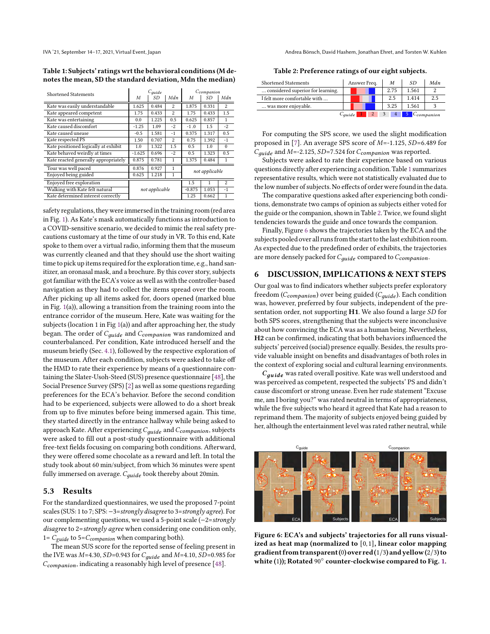IVA '21, September 14–17, 2021, Virtual Event, Japan Andrea Bönsch, David Hashem, Jonathan Ehret, and Torsten W. Kuhlen

<span id="page-5-0"></span>Table 1: Subjects' ratings wrt the behavioral conditions (M denotes the mean, SD the standard deviation, Mdn the median)

| <b>Shortened Statements</b>          |          | $C_{\text{guide}}$ |                | Ccompanion     |       |                |  |
|--------------------------------------|----------|--------------------|----------------|----------------|-------|----------------|--|
|                                      | M        | SD                 | Mdn            | M              | SD    | Mdn            |  |
| Kate was easily understandable       | 1.625    | 0.484              | 2              | 1.875          | 0.331 | 2              |  |
| Kate appeared competent              | 1.75     | 0.433              | $\mathfrak{D}$ | 1.75           | 0.433 | 1.5            |  |
| Kate was entertaining                | 0.0      | 1.225              | 0.5            | 0.625          | 0.857 | 1              |  |
| Kate caused discomfort               | $-1.25$  | 1.09               | $-2$           | $-1.0$         | 1.5   | $-2$           |  |
| Kate caused unease                   | $-0.5$   | 1.581              | $-1$           | 0.375          | 1.317 | 0.5            |  |
| Kate respected PS                    | 1.50     | 0.707              | $\mathfrak{D}$ | 0.75           | 1.392 | $-1$           |  |
| Kate positioned logically at exhibit | 1.0      | 1.322              | 1.5            | 0.5            | 1.0   | $\Omega$       |  |
| Kate behaved weirdly at times        | $-1.625$ | 0.696              | $-2$           | 0.5            | 1.323 | 0.5            |  |
| Kate reacted generally appropriately | 0.875    | 0.781              | 1              | 1.375          | 0.484 | 1              |  |
| Tour was well paced                  | 0.876    | 0.927              | 1              | not applicable |       |                |  |
| Enjoyed being guided                 | 0.625    | 1.218              | 1              |                |       |                |  |
| Enjoyed free exploration             |          |                    |                | 1.5            | 1     | $\overline{2}$ |  |
| Walking with Kate felt natural       |          | not applicable     |                | $-0.875$       | 1.053 | $-1$           |  |
| Kate determined interest correctly   |          |                    |                | 1.25           | 0.662 | 1              |  |

safety regulations, they were immersed in the training room(red area in Fig. [1\)](#page-1-0). As Kate's mask automatically functions as introduction to a COVID-sensitive scenario, we decided to mimic the real safety precautions customary at the time of our study in VR. To this end, Kate spoke to them over a virtual radio, informing them that the museum was currently cleaned and that they should use the short waiting time to pick up items required for the exploration time, e.g., hand sanitizer, an oronasal mask, and a brochure. By this cover story, subjects got familiar with the ECA's voice as well as with the controller-based navigation as they had to collect the items spread over the room. After picking up all items asked for, doors opened (marked blue in Fig. [1\(](#page-1-0)a)), allowing a transition from the training room into the entrance corridor of the museum. Here, Kate was waiting for the subjects (location 1 in Fig [1\(](#page-1-0)a)) and after approaching her, the study began. The order of  $C_{guide}$  and  $C_{compansion}$  was randomized and counterbalanced. Per condition, Kate introduced herself and the museum briefly (Sec. [4.1\)](#page-2-3), followed by the respective exploration of the museum. After each condition, subjects were asked to take off the HMD to rate their experience by means of a questionnaire containing the Slater-Usoh-Steed (SUS) presence questionnaire [\[48\]](#page-7-49), the Social Presence Survey (SPS) [\[2\]](#page-7-27) as well as some questions regarding preferences for the ECA's behavior. Before the second condition had to be experienced, subjects were allowed to do a short break from up to five minutes before being immersed again. This time, they started directly in the entrance hallway while being asked to approach Kate. After experiencing  $C_{\text{guide}}$  and  $C_{\text{companion}}$ , subjects were asked to fill out a post-study questionnaire with additional free-text fields focusing on comparing both conditions. Afterward, they were offered some chocolate as a reward and left. In total the study took about 60 min/subject, from which 36 minutes were spent fully immersed on average.  $C_{\text{guide}}$  took thereby about 20min.

#### 5.3 Results

For the standardized questionnaires, we used the proposed 7-point scales (SUS: 1 to 7; SPS: −3=strongly disagree to 3=strongly agree). For our complementing questions, we used a 5-point scale (−2=strongly disagree to 2=strongly agree when considering one condition only, 1=  $C_{guide}$  to 5= $C_{companion}$  when comparing both).

The mean SUS score for the reported sense of feeling present in the IVE was  $M=4.30$ ,  $SD=0.943$  for  $C_{quide}$  and  $M=4.10$ ,  $SD=0.985$  for  $C_{\textit{companion}}$ , indicating a reasonably high level of presence [\[48\]](#page-7-49).

Table 2: Preference ratings of our eight subjects.

<span id="page-5-1"></span>

| <b>Shortened Statements</b>       | Answer Freq.       |  |  | M    | SD.                            | Mdn |
|-----------------------------------|--------------------|--|--|------|--------------------------------|-----|
| considered superior for learning. |                    |  |  | 2.75 | 1.561                          |     |
| I felt more comfortable with      |                    |  |  | 2.5  | 1.414                          | 2.5 |
| was more enjoyable.               |                    |  |  | 3.25 | 1.561                          |     |
|                                   | C <sub>auide</sub> |  |  |      | $\overline{5}$ $C_{companion}$ |     |

For computing the SPS score, we used the slight modification proposed in [\[7\]](#page-7-30). An average SPS score of  $M=$ -1.125,  $SD=$ 6.489 for  $C_{guide}$  and  $M=$ -2.125, SD=7.524 for  $C_{companion}$  was reported.

Subjects were asked to rate their experience based on various questions directly after experiencing a condition. Table [1](#page-5-0) summarizes representative results, which were not statistically evaluated due to the low number of subjects. No effects of order were found in the data.

The comparative questions asked after experiencing both conditions, demonstrate two camps of opinion as subjects either voted for the guide or the companion, shown in Table [2.](#page-5-1) Twice, we found slight tendencies towards the guide and once towards the companion.

Finally, Figure [6](#page-5-2) shows the trajectories taken by the ECA and the subjects pooled over all runs from the start to the last exhibition room. As expected due to the predefined order of exhibits, the trajectories are more densely packed for  $C_{\text{quide}}$  compared to  $C_{\text{companion}}$ .

#### 6 DISCUSSION, IMPLICATIONS & NEXT STEPS

Our goal was to find indicators whether subjects prefer exploratory freedom ( $C_{companion}$ ) over being guided ( $C_{guide}$ ). Each condition was, however, preferred by four subjects, independent of the presentation order, not supporting H1. We also found a large SD for both SPS scores, strengthening that the subjects were inconclusive about how convincing the ECA was as a human being. Nevertheless, H2 can be confirmed, indicating that both behaviors influenced the subjects' perceived (social) presence equally. Besides, the results provide valuable insight on benefits and disadvantages of both roles in the context of exploring social and cultural learning environments.

 $C_{\text{guide}}$  was rated overall positive. Kate was well understood and was perceived as competent, respected the subjects' PS and didn't cause discomfort or strong unease. Even her rude statement "Excuse me, am I boring you?" was rated neutral in terms of appropriateness, while the five subjects who heard it agreed that Kate had a reason to reprimand them. The majority of subjects enjoyed being guided by her, although the entertainment level was rated rather neutral, while

<span id="page-5-2"></span>

Figure 6: ECA's and subjects' trajectories for all runs visualized as heat map (normalized to [0,1], linear color mapping gradient from transparent (0) over red  $(1/3)$  and yellow  $(2/3)$  to white (1)); Rotated  $\widehat{90^{\circ}}$  counter-clockwise compared to Fig. [1.](#page-1-0)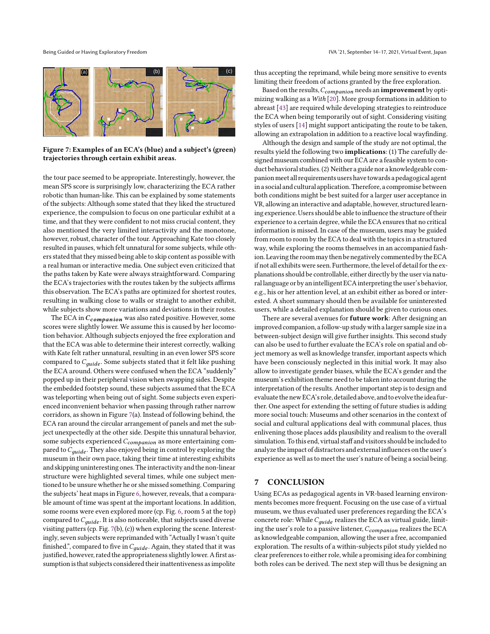<span id="page-6-0"></span>

Figure 7: Examples of an ECA's (blue) and a subject's (green) trajectories through certain exhibit areas.

the tour pace seemed to be appropriate. Interestingly, however, the mean SPS score is surprisingly low, characterizing the ECA rather robotic than human-like. This can be explained by some statements of the subjects: Although some stated that they liked the structured experience, the compulsion to focus on one particular exhibit at a time, and that they were confident to not miss crucial content, they also mentioned the very limited interactivity and the monotone, however, robust, character of the tour. Approaching Kate too closely resulted in pauses, which felt unnatural for some subjects, while others stated that they missed being able to skip content as possible with a real human or interactive media. One subject even criticized that the paths taken by Kate were always straightforward. Comparing the ECA's trajectories with the routes taken by the subjects affirms this observation. The ECA's paths are optimized for shortest routes, resulting in walking close to walls or straight to another exhibit, while subjects show more variations and deviations in their routes.

The ECA in  $C_{\textit{companion}}$  was also rated positive. However, some scores were slightly lower. We assume this is caused by her locomotion behavior. Although subjects enjoyed the free exploration and that the ECA was able to determine their interest correctly, walking with Kate felt rather unnatural, resulting in an even lower SPS score compared to  $C_{aude}$ . Some subjects stated that it felt like pushing the ECA around. Others were confused when the ECA "suddenly" popped up in their peripheral vision when swapping sides. Despite the embedded footstep sound, these subjects assumed that the ECA was teleporting when being out of sight. Some subjects even experienced inconvenient behavior when passing through rather narrow corridors, as shown in Figure [7\(](#page-6-0)a). Instead of following behind, the ECA ran around the circular arrangement of panels and met the subject unexpectedly at the other side. Despite this unnatural behavior, some subjects experienced  $C_{\textit{companion}}$  as more entertaining compared to  $C_{guide}$ . They also enjoyed being in control by exploring the museum in their own pace, taking their time at interesting exhibits and skipping uninteresting ones. The interactivity and the non-linear structure were highlighted several times, while one subject mentioned to be unsure whether he or she missed something. Comparing the subjects' heat maps in Figure [6,](#page-5-2) however, reveals, that a comparable amount of time was spent at the important locations. In addition, some rooms were even explored more (cp. Fig. [6,](#page-5-2) room 5 at the top) compared to  $C_{\text{guide}}$ . It is also noticeable, that subjects used diverse visiting patters (cp. Fig. [7\(](#page-6-0)b), (c)) when exploring the scene. Interestingly, seven subjects were reprimanded with "Actually I wasn't quite finished.", compared to five in  $C_{\text{guide}}$ . Again, they stated that it was justified, however, rated the appropriateness slightly lower. A first assumption is that subjects considered their inattentiveness as impolite

thus accepting the reprimand, while being more sensitive to events limiting their freedom of actions granted by the free exploration.

Based on the results,  $C_{\text{companion}}$  needs an **improvement** by optimizing walking as a With [\[20\]](#page-7-46). More group formations in addition to abreast [\[43\]](#page-7-47) are required while developing strategies to reintroduce the ECA when being temporarily out of sight. Considering visiting styles of users [\[14\]](#page-7-50) might support anticipating the route to be taken, allowing an extrapolation in addition to a reactive local wayfinding.

Although the design and sample of the study are not optimal, the results yield the following two implications: (1) The carefully designed museum combined with our ECA are a feasible system to conduct behavioral studies.(2) Neither a guide nor a knowledgeable companionmeet all requirements users have towards a pedagogical agent in a social and cultural application. Therefore, a compromise between both conditions might be best suited for a larger user acceptance in VR, allowing an interactive and adaptable, however, structured learning experience. Users should be able to influence the structure of their experience to a certain degree, while the ECA ensures that no critical information is missed. In case of the museum, users may be guided from room to room by the ECA to deal with the topics in a structured way, while exploring the rooms themselves in an accompanied fashion. Leaving the room may then be negatively commented by the ECA if not all exhibits were seen. Furthermore, the level of detail for the explanations should be controllable, either directly by the user via natural language or by an intelligent ECA interpreting the user's behavior, e.g., his or her attention level, at an exhibit either as bored or interested. A short summary should then be available for uninterested users, while a detailed explanation should be given to curious ones.

There are several avenues for **future work**: After designing an improved companion, a follow-up study with a larger sample size in a between-subject design will give further insights. This second study can also be used to further evaluate the ECA's role on spatial and object memory as well as knowledge transfer, important aspects which have been consciously neglected in this initial work. It may also allow to investigate gender biases, while the ECA's gender and the museum's exhibition theme need to be taken into account during the interpretation of the results. Another important step is to design and evaluate the new ECA's role, detailed above, and to evolve theidea further. One aspect for extending the setting of future studies is adding more social touch: Museums and other scenarios in the context of social and cultural applications deal with communal places, thus enlivening those places adds plausibility and realism to the overall simulation. To this end, virtual staff and visitors should be included to analyze the impact of distractors and external influences on the user's experience as well as to meet the user's nature of being a social being.

#### 7 CONCLUSION

Using ECAs as pedagogical agents in VR-based learning environments becomes more frequent. Focusing on the use case of a virtual museum, we thus evaluated user preferences regarding the ECA's concrete role: While  $C_{guide}$  realizes the ECA as virtual guide, limiting the user's role to a passive listener,  $C_{\textit{companion}}$  realizes the ECA as knowledgeable companion, allowing the user a free, accompanied exploration. The results of a within-subjects pilot study yielded no clear preferences to either role, while a promising idea for combining both roles can be derived. The next step will thus be designing an